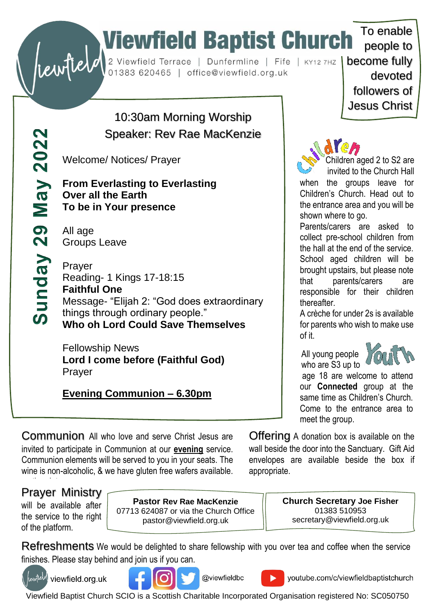# To enable<br>
Substitute of the Church To enable<br>
Substitute of the Church To enable<br>
Dunfermline | Fife | KY12 7HZ | become fully<br>
devoted

10:30am Morning Worship Speaker: Rev Rae MacKenzie

Welcome/ Notices/ Prayer

**From Everlasting to Everlasting Over all the Earth To be in Your presence** 

All age Groups Leave

 $May 2022$ 

29

Sunday

Prayer Reading- 1 Kings 17-18:15 **Faithful One** Message- "Elijah 2: "God does extraordinary things through ordinary people." **Who oh Lord Could Save Themselves**

Fellowship News **Lord I come before (Faithful God)** Prayer

**Evening Communion – 6.30pm**

people to devoted followers of Jesus Christ

To enable



Children aged 2 to S2 are invited to the Church Hall

when the groups leave for Children's Church. Head out to the entrance area and you will be shown where to go.

Parents/carers are asked to collect pre-school children from the hall at the end of the service. School aged children will be brought upstairs, but please note that parents/carers are responsible for their children thereafter.

A crèche for under 2s is available for parents who wish to make use of it.

 All young people who are S3 up to



age 18 are welcome to attend our **Connected** group at the same time as Children's Church. Come to the entrance area to meet the group.

Communion All who love and serve Christ Jesus are invited to participate in Communion at our **evening** service. Communion elements will be served to you in your seats. The wine is non-alcoholic, & we have gluten free wafers available.

Offering A donation box is available on the wall beside the door into the Sanctuary. Gift Aid envelopes are available beside the box if appropriate.

# on the plates. Prayer Ministry

will be available after the service to the right of the platform.

**Pastor Rev Rae MacKenzie** 07713 624087 or via the Church Office pastor@viewfield.org.uk

**Church Secretary Joe Fisher** 01383 510953 secretary@viewfield.org.uk

Refreshments We would be delighted to share fellowship with you over tea and coffee when the service finishes. Please stay behind and join us if you can.



(lewf<sup>teld</sup>) viewfield.org.uk



@viewfieldbc

youtube.com/c/viewfieldbaptistchurch

Viewfield Baptist Church SCIO is a Scottish Charitable Incorporated Organisation registered No: SC050750